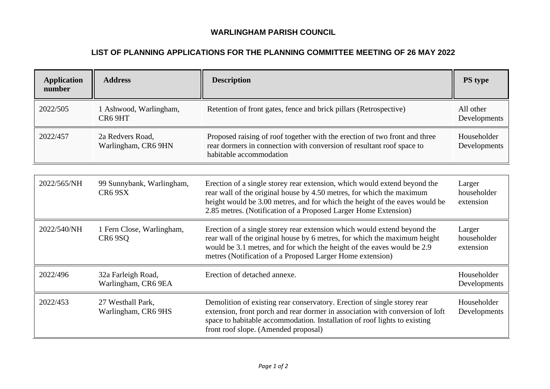## **WARLINGHAM PARISH COUNCIL**

## **LIST OF PLANNING APPLICATIONS FOR THE PLANNING COMMITTEE MEETING OF 26 MAY 2022**

| <b>Application</b><br>number | <b>Address</b>                                   | <b>Description</b>                                                                                                                                                                                                                                                                                   | PS type                            |
|------------------------------|--------------------------------------------------|------------------------------------------------------------------------------------------------------------------------------------------------------------------------------------------------------------------------------------------------------------------------------------------------------|------------------------------------|
| 2022/505                     | 1 Ashwood, Warlingham,<br>CR6 9HT                | Retention of front gates, fence and brick pillars (Retrospective)                                                                                                                                                                                                                                    | All other<br>Developments          |
| 2022/457                     | 2a Redvers Road,<br>Warlingham, CR6 9HN          | Proposed raising of roof together with the erection of two front and three<br>rear dormers in connection with conversion of resultant roof space to<br>habitable accommodation                                                                                                                       | Householder<br>Developments        |
|                              |                                                  |                                                                                                                                                                                                                                                                                                      |                                    |
| 2022/565/NH                  | 99 Sunnybank, Warlingham,<br>CR <sub>6</sub> 9SX | Erection of a single storey rear extension, which would extend beyond the<br>rear wall of the original house by 4.50 metres, for which the maximum<br>height would be 3.00 metres, and for which the height of the eaves would be<br>2.85 metres. (Notification of a Proposed Larger Home Extension) | Larger<br>householder<br>extension |
| 2022/540/NH                  | 1 Fern Close, Warlingham,<br>CR <sub>6</sub> 9SQ | Erection of a single storey rear extension which would extend beyond the<br>rear wall of the original house by 6 metres, for which the maximum height<br>would be 3.1 metres, and for which the height of the eaves would be 2.9<br>metres (Notification of a Proposed Larger Home extension)        | Larger<br>householder<br>extension |
| 2022/496                     | 32a Farleigh Road,<br>Warlingham, CR6 9EA        | Erection of detached annexe.                                                                                                                                                                                                                                                                         | Householder<br>Developments        |
| 2022/453                     | 27 Westhall Park,<br>Warlingham, CR6 9HS         | Demolition of existing rear conservatory. Erection of single storey rear<br>extension, front porch and rear dormer in association with conversion of loft<br>space to habitable accommodation. Installation of roof lights to existing<br>front roof slope. (Amended proposal)                       | Householder<br>Developments        |